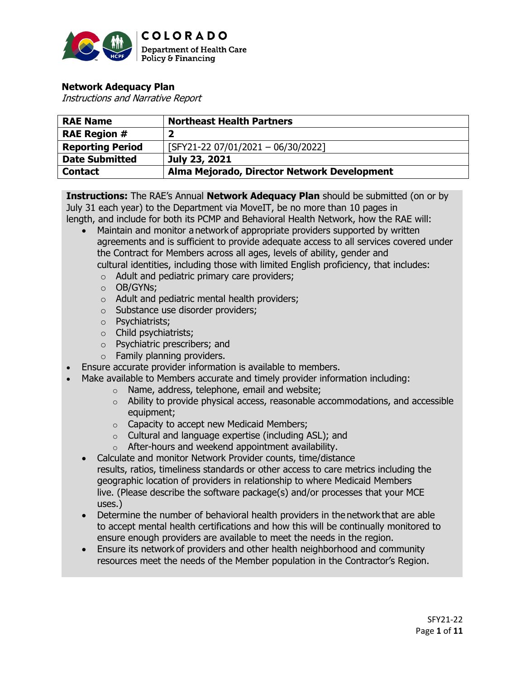

# **Network Adequacy Plan**

Instructions and Narrative Report

| <b>RAE Name</b>         | <b>Northeast Health Partners</b>            |
|-------------------------|---------------------------------------------|
| <b>RAE Region #</b>     |                                             |
| <b>Reporting Period</b> | $[SFY21-22 07/01/2021 - 06/30/2022]$        |
| <b>Date Submitted</b>   | July 23, 2021                               |
| <b>Contact</b>          | Alma Mejorado, Director Network Development |

**Instructions:** The RAE's Annual **Network Adequacy Plan** should be submitted (on or by July 31 each year) to the Department via MoveIT, be no more than 10 pages in length, and include for both its PCMP and Behavioral Health Network, how the RAE will:

- Maintain and monitor a network of appropriate providers supported by written agreements and is sufficient to provide adequate access to all services covered under the Contract for Members across all ages, levels of ability, gender and cultural identities, including those with limited English proficiency, that includes:
	- o Adult and pediatric primary care providers;
	- o OB/GYNs;
	- o Adult and pediatric mental health providers;
	- o Substance use disorder providers;
	- o Psychiatrists;
	- o Child psychiatrists;
	- o Psychiatric prescribers; and
	- $\circ$  Family planning providers.
- Ensure accurate provider information is available to members.
- Make available to Members accurate and timely provider information including:
	- o Name, address, telephone, email and website;
		- $\circ$  Ability to provide physical access, reasonable accommodations, and accessible equipment;
		- o Capacity to accept new Medicaid Members;
		- o Cultural and language expertise (including ASL); and
	- o After-hours and weekend appointment availability.
	- Calculate and monitor Network Provider counts, time/distance results, ratios, timeliness standards or other access to care metrics including the geographic location of providers in relationship to where Medicaid Members live. (Please describe the software package(s) and/or processes that your MCE uses.)
	- Determine the number of behavioral health providers in the network that are able to accept mental health certifications and how this will be continually monitored to ensure enough providers are available to meet the needs in the region.
	- Ensure its network of providers and other health neighborhood and community resources meet the needs of the Member population in the Contractor's Region.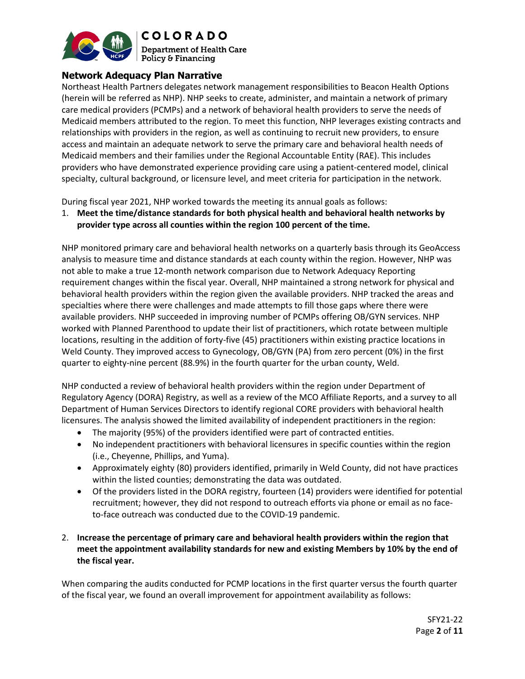

# **Network Adequacy Plan Narrative**

Northeast Health Partners delegates network management responsibilities to Beacon Health Options (herein will be referred as NHP). NHP seeks to create, administer, and maintain a network of primary care medical providers (PCMPs) and a network of behavioral health providers to serve the needs of Medicaid members attributed to the region. To meet this function, NHP leverages existing contracts and relationships with providers in the region, as well as continuing to recruit new providers, to ensure access and maintain an adequate network to serve the primary care and behavioral health needs of Medicaid members and their families under the Regional Accountable Entity (RAE). This includes providers who have demonstrated experience providing care using a patient-centered model, clinical specialty, cultural background, or licensure level, and meet criteria for participation in the network.

During fiscal year 2021, NHP worked towards the meeting its annual goals as follows:

1. **Meet the time/distance standards for both physical health and behavioral health networks by provider type across all counties within the region 100 percent of the time.** 

NHP monitored primary care and behavioral health networks on a quarterly basis through its GeoAccess analysis to measure time and distance standards at each county within the region. However, NHP was not able to make a true 12-month network comparison due to Network Adequacy Reporting requirement changes within the fiscal year. Overall, NHP maintained a strong network for physical and behavioral health providers within the region given the available providers. NHP tracked the areas and specialties where there were challenges and made attempts to fill those gaps where there were available providers. NHP succeeded in improving number of PCMPs offering OB/GYN services. NHP worked with Planned Parenthood to update their list of practitioners, which rotate between multiple locations, resulting in the addition of forty-five (45) practitioners within existing practice locations in Weld County. They improved access to Gynecology, OB/GYN (PA) from zero percent (0%) in the first quarter to eighty-nine percent (88.9%) in the fourth quarter for the urban county, Weld.

NHP conducted a review of behavioral health providers within the region under Department of Regulatory Agency (DORA) Registry, as well as a review of the MCO Affiliate Reports, and a survey to all Department of Human Services Directors to identify regional CORE providers with behavioral health licensures. The analysis showed the limited availability of independent practitioners in the region:

- The majority (95%) of the providers identified were part of contracted entities.
- No independent practitioners with behavioral licensures in specific counties within the region (i.e., Cheyenne, Phillips, and Yuma).
- Approximately eighty (80) providers identified, primarily in Weld County, did not have practices within the listed counties; demonstrating the data was outdated.
- Of the providers listed in the DORA registry, fourteen (14) providers were identified for potential recruitment; however, they did not respond to outreach efforts via phone or email as no faceto-face outreach was conducted due to the COVID-19 pandemic.
- 2. **Increase the percentage of primary care and behavioral health providers within the region that meet the appointment availability standards for new and existing Members by 10% by the end of the fiscal year.**

When comparing the audits conducted for PCMP locations in the first quarter versus the fourth quarter of the fiscal year, we found an overall improvement for appointment availability as follows: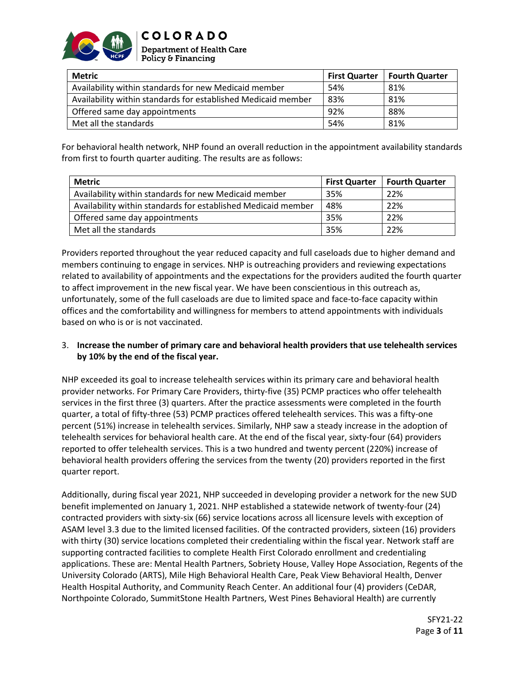

| <b>Metric</b>                                                 | <b>First Quarter</b> | <b>Fourth Quarter</b> |
|---------------------------------------------------------------|----------------------|-----------------------|
| Availability within standards for new Medicaid member         | 54%                  | 81%                   |
| Availability within standards for established Medicaid member | 83%                  | 81%                   |
| Offered same day appointments                                 | 92%                  | 88%                   |
| Met all the standards                                         | 54%                  | 81%                   |

For behavioral health network, NHP found an overall reduction in the appointment availability standards from first to fourth quarter auditing. The results are as follows:

| <b>Metric</b>                                                 | <b>First Quarter</b> | <b>Fourth Quarter</b> |
|---------------------------------------------------------------|----------------------|-----------------------|
| Availability within standards for new Medicaid member         | 35%                  | 22%                   |
| Availability within standards for established Medicaid member | 48%                  | 22%                   |
| Offered same day appointments                                 | 35%                  | 22%                   |
| Met all the standards                                         | 35%                  | 22%                   |

Providers reported throughout the year reduced capacity and full caseloads due to higher demand and members continuing to engage in services. NHP is outreaching providers and reviewing expectations related to availability of appointments and the expectations for the providers audited the fourth quarter to affect improvement in the new fiscal year. We have been conscientious in this outreach as, unfortunately, some of the full caseloads are due to limited space and face-to-face capacity within offices and the comfortability and willingness for members to attend appointments with individuals based on who is or is not vaccinated.

## 3. **Increase the number of primary care and behavioral health providers that use telehealth services by 10% by the end of the fiscal year.**

NHP exceeded its goal to increase telehealth services within its primary care and behavioral health provider networks. For Primary Care Providers, thirty-five (35) PCMP practices who offer telehealth services in the first three (3) quarters. After the practice assessments were completed in the fourth quarter, a total of fifty-three (53) PCMP practices offered telehealth services. This was a fifty-one percent (51%) increase in telehealth services. Similarly, NHP saw a steady increase in the adoption of telehealth services for behavioral health care. At the end of the fiscal year, sixty-four (64) providers reported to offer telehealth services. This is a two hundred and twenty percent (220%) increase of behavioral health providers offering the services from the twenty (20) providers reported in the first quarter report.

Additionally, during fiscal year 2021, NHP succeeded in developing provider a network for the new SUD benefit implemented on January 1, 2021. NHP established a statewide network of twenty-four (24) contracted providers with sixty-six (66) service locations across all licensure levels with exception of ASAM level 3.3 due to the limited licensed facilities. Of the contracted providers, sixteen (16) providers with thirty (30) service locations completed their credentialing within the fiscal year. Network staff are supporting contracted facilities to complete Health First Colorado enrollment and credentialing applications. These are: Mental Health Partners, Sobriety House, Valley Hope Association, Regents of the University Colorado (ARTS), Mile High Behavioral Health Care, Peak View Behavioral Health, Denver Health Hospital Authority, and Community Reach Center. An additional four (4) providers (CeDAR, Northpointe Colorado, SummitStone Health Partners, West Pines Behavioral Health) are currently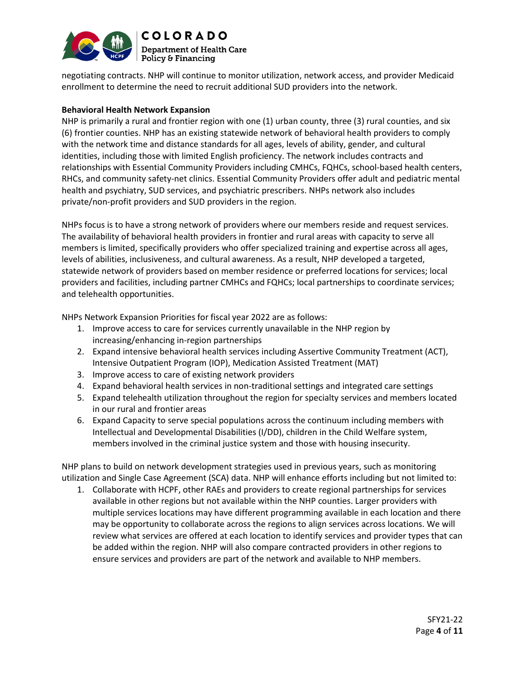

negotiating contracts. NHP will continue to monitor utilization, network access, and provider Medicaid enrollment to determine the need to recruit additional SUD providers into the network.

### **Behavioral Health Network Expansion**

NHP is primarily a rural and frontier region with one (1) urban county, three (3) rural counties, and six (6) frontier counties. NHP has an existing statewide network of behavioral health providers to comply with the network time and distance standards for all ages, levels of ability, gender, and cultural identities, including those with limited English proficiency. The network includes contracts and relationships with Essential Community Providers including CMHCs, FQHCs, school-based health centers, RHCs, and community safety-net clinics. Essential Community Providers offer adult and pediatric mental health and psychiatry, SUD services, and psychiatric prescribers. NHPs network also includes private/non-profit providers and SUD providers in the region.

NHPs focus is to have a strong network of providers where our members reside and request services. The availability of behavioral health providers in frontier and rural areas with capacity to serve all members is limited, specifically providers who offer specialized training and expertise across all ages, levels of abilities, inclusiveness, and cultural awareness. As a result, NHP developed a targeted, statewide network of providers based on member residence or preferred locations for services; local providers and facilities, including partner CMHCs and FQHCs; local partnerships to coordinate services; and telehealth opportunities.

NHPs Network Expansion Priorities for fiscal year 2022 are as follows:

- 1. Improve access to care for services currently unavailable in the NHP region by increasing/enhancing in-region partnerships
- 2. Expand intensive behavioral health services including Assertive Community Treatment (ACT), Intensive Outpatient Program (IOP), Medication Assisted Treatment (MAT)
- 3. Improve access to care of existing network providers
- 4. Expand behavioral health services in non-traditional settings and integrated care settings
- 5. Expand telehealth utilization throughout the region for specialty services and members located in our rural and frontier areas
- 6. Expand Capacity to serve special populations across the continuum including members with Intellectual and Developmental Disabilities (I/DD), children in the Child Welfare system, members involved in the criminal justice system and those with housing insecurity.

NHP plans to build on network development strategies used in previous years, such as monitoring utilization and Single Case Agreement (SCA) data. NHP will enhance efforts including but not limited to:

1. Collaborate with HCPF, other RAEs and providers to create regional partnerships for services available in other regions but not available within the NHP counties. Larger providers with multiple services locations may have different programming available in each location and there may be opportunity to collaborate across the regions to align services across locations. We will review what services are offered at each location to identify services and provider types that can be added within the region. NHP will also compare contracted providers in other regions to ensure services and providers are part of the network and available to NHP members.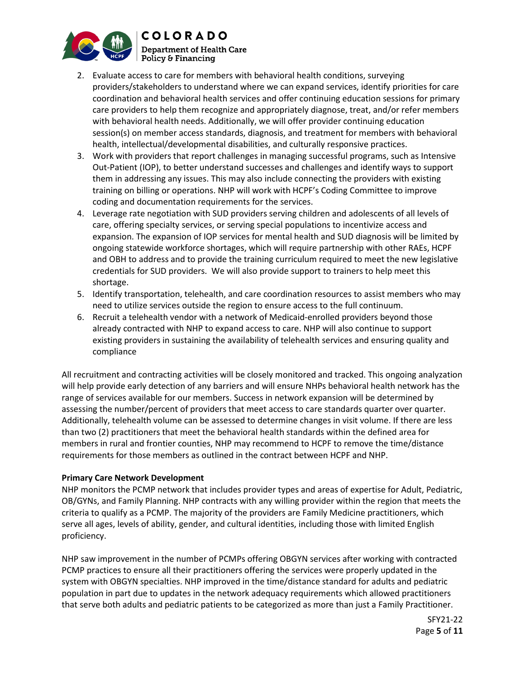

- 2. Evaluate access to care for members with behavioral health conditions, surveying providers/stakeholders to understand where we can expand services, identify priorities for care coordination and behavioral health services and offer continuing education sessions for primary care providers to help them recognize and appropriately diagnose, treat, and/or refer members with behavioral health needs. Additionally, we will offer provider continuing education session(s) on member access standards, diagnosis, and treatment for members with behavioral health, intellectual/developmental disabilities, and culturally responsive practices.
- 3. Work with providers that report challenges in managing successful programs, such as Intensive Out-Patient (IOP), to better understand successes and challenges and identify ways to support them in addressing any issues. This may also include connecting the providers with existing training on billing or operations. NHP will work with HCPF's Coding Committee to improve coding and documentation requirements for the services.
- 4. Leverage rate negotiation with SUD providers serving children and adolescents of all levels of care, offering specialty services, or serving special populations to incentivize access and expansion. The expansion of IOP services for mental health and SUD diagnosis will be limited by ongoing statewide workforce shortages, which will require partnership with other RAEs, HCPF and OBH to address and to provide the training curriculum required to meet the new legislative credentials for SUD providers. We will also provide support to trainers to help meet this shortage.
- 5. Identify transportation, telehealth, and care coordination resources to assist members who may need to utilize services outside the region to ensure access to the full continuum.
- 6. Recruit a telehealth vendor with a network of Medicaid-enrolled providers beyond those already contracted with NHP to expand access to care. NHP will also continue to support existing providers in sustaining the availability of telehealth services and ensuring quality and compliance

All recruitment and contracting activities will be closely monitored and tracked. This ongoing analyzation will help provide early detection of any barriers and will ensure NHPs behavioral health network has the range of services available for our members. Success in network expansion will be determined by assessing the number/percent of providers that meet access to care standards quarter over quarter. Additionally, telehealth volume can be assessed to determine changes in visit volume. If there are less than two (2) practitioners that meet the behavioral health standards within the defined area for members in rural and frontier counties, NHP may recommend to HCPF to remove the time/distance requirements for those members as outlined in the contract between HCPF and NHP.

## **Primary Care Network Development**

NHP monitors the PCMP network that includes provider types and areas of expertise for Adult, Pediatric, OB/GYNs, and Family Planning. NHP contracts with any willing provider within the region that meets the criteria to qualify as a PCMP. The majority of the providers are Family Medicine practitioners, which serve all ages, levels of ability, gender, and cultural identities, including those with limited English proficiency.

NHP saw improvement in the number of PCMPs offering OBGYN services after working with contracted PCMP practices to ensure all their practitioners offering the services were properly updated in the system with OBGYN specialties. NHP improved in the time/distance standard for adults and pediatric population in part due to updates in the network adequacy requirements which allowed practitioners that serve both adults and pediatric patients to be categorized as more than just a Family Practitioner.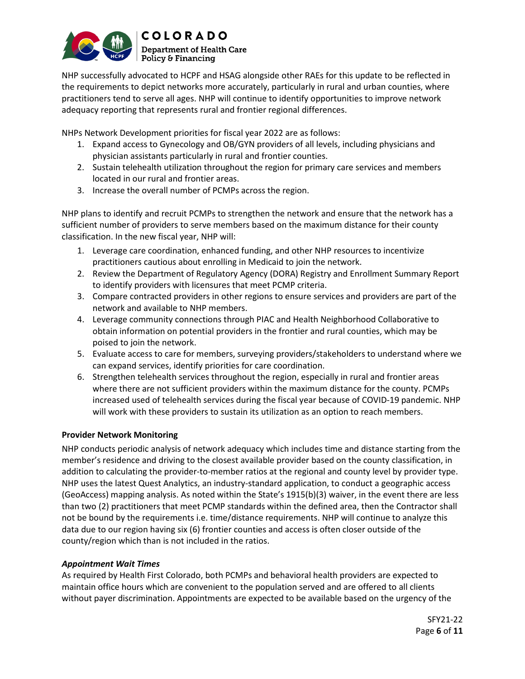

NHP successfully advocated to HCPF and HSAG alongside other RAEs for this update to be reflected in the requirements to depict networks more accurately, particularly in rural and urban counties, where practitioners tend to serve all ages. NHP will continue to identify opportunities to improve network adequacy reporting that represents rural and frontier regional differences.

NHPs Network Development priorities for fiscal year 2022 are as follows:

- 1. Expand access to Gynecology and OB/GYN providers of all levels, including physicians and physician assistants particularly in rural and frontier counties.
- 2. Sustain telehealth utilization throughout the region for primary care services and members located in our rural and frontier areas.
- 3. Increase the overall number of PCMPs across the region.

NHP plans to identify and recruit PCMPs to strengthen the network and ensure that the network has a sufficient number of providers to serve members based on the maximum distance for their county classification. In the new fiscal year, NHP will:

- 1. Leverage care coordination, enhanced funding, and other NHP resources to incentivize practitioners cautious about enrolling in Medicaid to join the network.
- 2. Review the Department of Regulatory Agency (DORA) Registry and Enrollment Summary Report to identify providers with licensures that meet PCMP criteria.
- 3. Compare contracted providers in other regions to ensure services and providers are part of the network and available to NHP members.
- 4. Leverage community connections through PIAC and Health Neighborhood Collaborative to obtain information on potential providers in the frontier and rural counties, which may be poised to join the network.
- 5. Evaluate access to care for members, surveying providers/stakeholders to understand where we can expand services, identify priorities for care coordination.
- 6. Strengthen telehealth services throughout the region, especially in rural and frontier areas where there are not sufficient providers within the maximum distance for the county. PCMPs increased used of telehealth services during the fiscal year because of COVID-19 pandemic. NHP will work with these providers to sustain its utilization as an option to reach members.

## **Provider Network Monitoring**

NHP conducts periodic analysis of network adequacy which includes time and distance starting from the member's residence and driving to the closest available provider based on the county classification, in addition to calculating the provider-to-member ratios at the regional and county level by provider type. NHP uses the latest Quest Analytics, an industry-standard application, to conduct a geographic access (GeoAccess) mapping analysis. As noted within the State's 1915(b)(3) waiver, in the event there are less than two (2) practitioners that meet PCMP standards within the defined area, then the Contractor shall not be bound by the requirements i.e. time/distance requirements. NHP will continue to analyze this data due to our region having six (6) frontier counties and access is often closer outside of the county/region which than is not included in the ratios.

### *Appointment Wait Times*

As required by Health First Colorado, both PCMPs and behavioral health providers are expected to maintain office hours which are convenient to the population served and are offered to all clients without payer discrimination. Appointments are expected to be available based on the urgency of the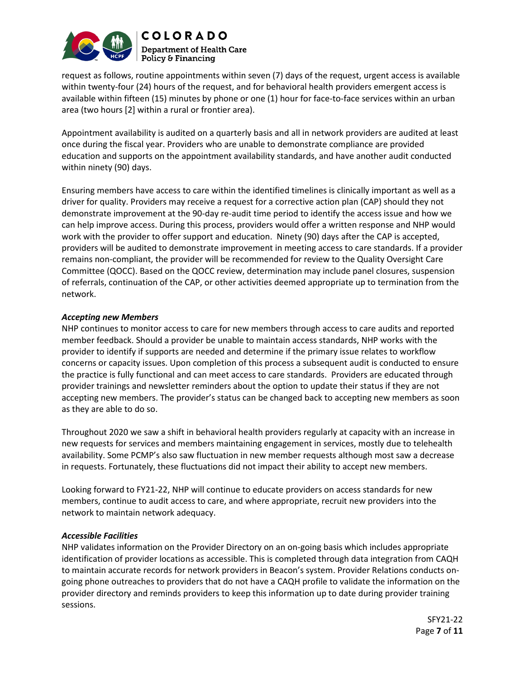

request as follows, routine appointments within seven (7) days of the request, urgent access is available within twenty-four (24) hours of the request, and for behavioral health providers emergent access is available within fifteen (15) minutes by phone or one (1) hour for face-to-face services within an urban area (two hours [2] within a rural or frontier area).

Appointment availability is audited on a quarterly basis and all in network providers are audited at least once during the fiscal year. Providers who are unable to demonstrate compliance are provided education and supports on the appointment availability standards, and have another audit conducted within ninety (90) days.

Ensuring members have access to care within the identified timelines is clinically important as well as a driver for quality. Providers may receive a request for a corrective action plan (CAP) should they not demonstrate improvement at the 90-day re-audit time period to identify the access issue and how we can help improve access. During this process, providers would offer a written response and NHP would work with the provider to offer support and education. Ninety (90) days after the CAP is accepted, providers will be audited to demonstrate improvement in meeting access to care standards. If a provider remains non-compliant, the provider will be recommended for review to the Quality Oversight Care Committee (QOCC). Based on the QOCC review, determination may include panel closures, suspension of referrals, continuation of the CAP, or other activities deemed appropriate up to termination from the network.

### *Accepting new Members*

NHP continues to monitor access to care for new members through access to care audits and reported member feedback. Should a provider be unable to maintain access standards, NHP works with the provider to identify if supports are needed and determine if the primary issue relates to workflow concerns or capacity issues. Upon completion of this process a subsequent audit is conducted to ensure the practice is fully functional and can meet access to care standards. Providers are educated through provider trainings and newsletter reminders about the option to update their status if they are not accepting new members. The provider's status can be changed back to accepting new members as soon as they are able to do so.

Throughout 2020 we saw a shift in behavioral health providers regularly at capacity with an increase in new requests for services and members maintaining engagement in services, mostly due to telehealth availability. Some PCMP's also saw fluctuation in new member requests although most saw a decrease in requests. Fortunately, these fluctuations did not impact their ability to accept new members.

Looking forward to FY21-22, NHP will continue to educate providers on access standards for new members, continue to audit access to care, and where appropriate, recruit new providers into the network to maintain network adequacy.

### *Accessible Facilities*

NHP validates information on the Provider Directory on an on-going basis which includes appropriate identification of provider locations as accessible. This is completed through data integration from CAQH to maintain accurate records for network providers in Beacon's system. Provider Relations conducts ongoing phone outreaches to providers that do not have a CAQH profile to validate the information on the provider directory and reminds providers to keep this information up to date during provider training sessions.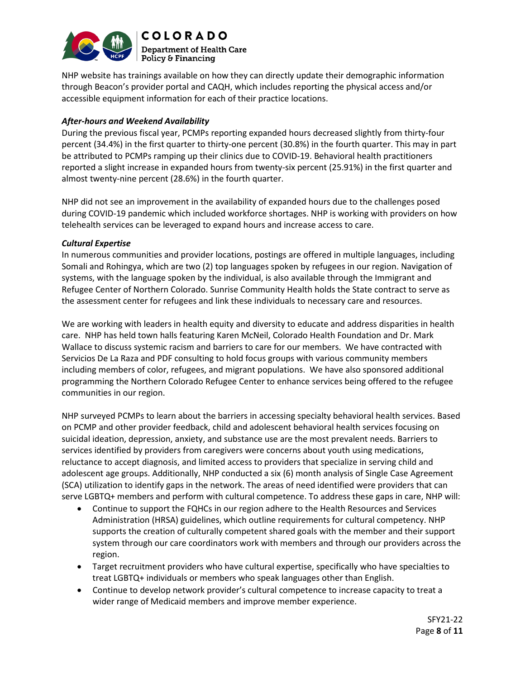

NHP website has trainings available on how they can directly update their demographic information through Beacon's provider portal and CAQH, which includes reporting the physical access and/or accessible equipment information for each of their practice locations.

### *After-hours and Weekend Availability*

During the previous fiscal year, PCMPs reporting expanded hours decreased slightly from thirty-four percent (34.4%) in the first quarter to thirty-one percent (30.8%) in the fourth quarter. This may in part be attributed to PCMPs ramping up their clinics due to COVID-19. Behavioral health practitioners reported a slight increase in expanded hours from twenty-six percent (25.91%) in the first quarter and almost twenty-nine percent (28.6%) in the fourth quarter.

NHP did not see an improvement in the availability of expanded hours due to the challenges posed during COVID-19 pandemic which included workforce shortages. NHP is working with providers on how telehealth services can be leveraged to expand hours and increase access to care.

### *Cultural Expertise*

In numerous communities and provider locations, postings are offered in multiple languages, including Somali and Rohingya, which are two (2) top languages spoken by refugees in our region. Navigation of systems, with the language spoken by the individual, is also available through the Immigrant and Refugee Center of Northern Colorado. Sunrise Community Health holds the State contract to serve as the assessment center for refugees and link these individuals to necessary care and resources.

We are working with leaders in health equity and diversity to educate and address disparities in health care. NHP has held town halls featuring Karen McNeil, Colorado Health Foundation and Dr. Mark Wallace to discuss systemic racism and barriers to care for our members. We have contracted with Servicios De La Raza and PDF consulting to hold focus groups with various community members including members of color, refugees, and migrant populations. We have also sponsored additional programming the Northern Colorado Refugee Center to enhance services being offered to the refugee communities in our region.

NHP surveyed PCMPs to learn about the barriers in accessing specialty behavioral health services. Based on PCMP and other provider feedback, child and adolescent behavioral health services focusing on suicidal ideation, depression, anxiety, and substance use are the most prevalent needs. Barriers to services identified by providers from caregivers were concerns about youth using medications, reluctance to accept diagnosis, and limited access to providers that specialize in serving child and adolescent age groups. Additionally, NHP conducted a six (6) month analysis of Single Case Agreement (SCA) utilization to identify gaps in the network. The areas of need identified were providers that can serve LGBTQ+ members and perform with cultural competence. To address these gaps in care, NHP will:

- Continue to support the FQHCs in our region adhere to the Health Resources and Services Administration (HRSA) guidelines, which outline requirements for cultural competency. NHP supports the creation of culturally competent shared goals with the member and their support system through our care coordinators work with members and through our providers across the region.
- Target recruitment providers who have cultural expertise, specifically who have specialties to treat LGBTQ+ individuals or members who speak languages other than English.
- Continue to develop network provider's cultural competence to increase capacity to treat a wider range of Medicaid members and improve member experience.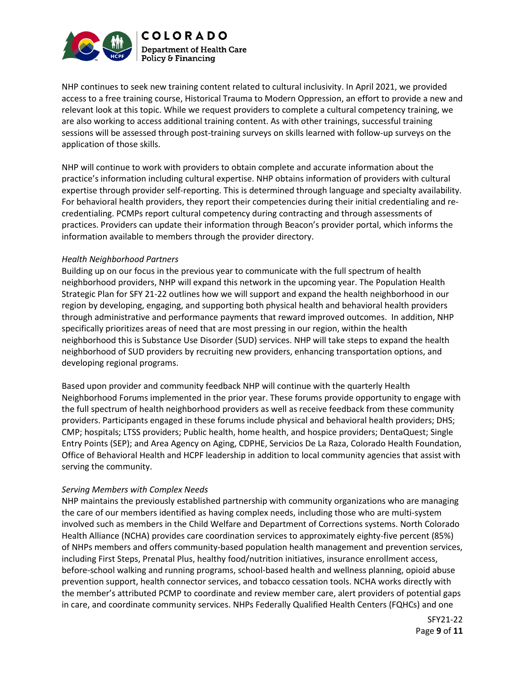

NHP continues to seek new training content related to cultural inclusivity. In April 2021, we provided access to a free training course, Historical Trauma to Modern Oppression, an effort to provide a new and relevant look at this topic. While we request providers to complete a cultural competency training, we are also working to access additional training content. As with other trainings, successful training sessions will be assessed through post-training surveys on skills learned with follow-up surveys on the application of those skills.

NHP will continue to work with providers to obtain complete and accurate information about the practice's information including cultural expertise. NHP obtains information of providers with cultural expertise through provider self-reporting. This is determined through language and specialty availability. For behavioral health providers, they report their competencies during their initial credentialing and recredentialing. PCMPs report cultural competency during contracting and through assessments of practices. Providers can update their information through Beacon's provider portal, which informs the information available to members through the provider directory.

#### *Health Neighborhood Partners*

Building up on our focus in the previous year to communicate with the full spectrum of health neighborhood providers, NHP will expand this network in the upcoming year. The Population Health Strategic Plan for SFY 21-22 outlines how we will support and expand the health neighborhood in our region by developing, engaging, and supporting both physical health and behavioral health providers through administrative and performance payments that reward improved outcomes. In addition, NHP specifically prioritizes areas of need that are most pressing in our region, within the health neighborhood this is Substance Use Disorder (SUD) services. NHP will take steps to expand the health neighborhood of SUD providers by recruiting new providers, enhancing transportation options, and developing regional programs.

Based upon provider and community feedback NHP will continue with the quarterly Health Neighborhood Forums implemented in the prior year. These forums provide opportunity to engage with the full spectrum of health neighborhood providers as well as receive feedback from these community providers. Participants engaged in these forums include physical and behavioral health providers; DHS; CMP; hospitals; LTSS providers; Public health, home health, and hospice providers; DentaQuest; Single Entry Points (SEP); and Area Agency on Aging, CDPHE, Servicios De La Raza, Colorado Health Foundation, Office of Behavioral Health and HCPF leadership in addition to local community agencies that assist with serving the community.

#### *Serving Members with Complex Needs*

NHP maintains the previously established partnership with community organizations who are managing the care of our members identified as having complex needs, including those who are multi-system involved such as members in the Child Welfare and Department of Corrections systems. North Colorado Health Alliance (NCHA) provides care coordination services to approximately eighty-five percent (85%) of NHPs members and offers community-based population health management and prevention services, including First Steps, Prenatal Plus, healthy food/nutrition initiatives, insurance enrollment access, before-school walking and running programs, school-based health and wellness planning, opioid abuse prevention support, health connector services, and tobacco cessation tools. NCHA works directly with the member's attributed PCMP to coordinate and review member care, alert providers of potential gaps in care, and coordinate community services. NHPs Federally Qualified Health Centers (FQHCs) and one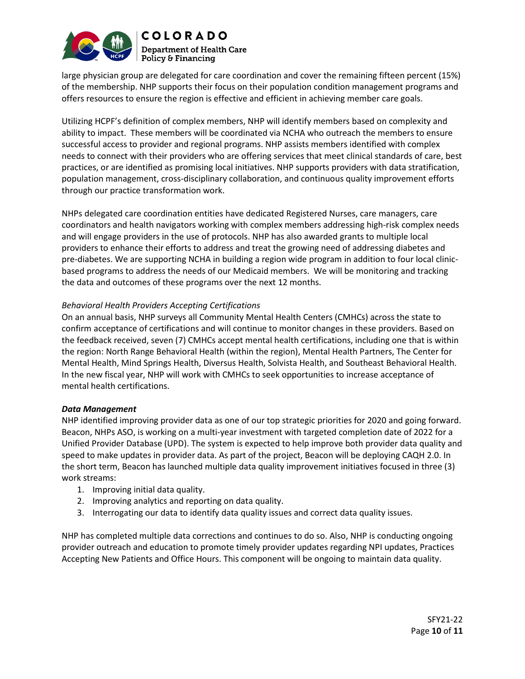

large physician group are delegated for care coordination and cover the remaining fifteen percent (15%) of the membership. NHP supports their focus on their population condition management programs and offers resources to ensure the region is effective and efficient in achieving member care goals.

Utilizing HCPF's definition of complex members, NHP will identify members based on complexity and ability to impact. These members will be coordinated via NCHA who outreach the members to ensure successful access to provider and regional programs. NHP assists members identified with complex needs to connect with their providers who are offering services that meet clinical standards of care, best practices, or are identified as promising local initiatives. NHP supports providers with data stratification, population management, cross-disciplinary collaboration, and continuous quality improvement efforts through our practice transformation work.

NHPs delegated care coordination entities have dedicated Registered Nurses, care managers, care coordinators and health navigators working with complex members addressing high-risk complex needs and will engage providers in the use of protocols. NHP has also awarded grants to multiple local providers to enhance their efforts to address and treat the growing need of addressing diabetes and pre-diabetes. We are supporting NCHA in building a region wide program in addition to four local clinicbased programs to address the needs of our Medicaid members. We will be monitoring and tracking the data and outcomes of these programs over the next 12 months.

### *Behavioral Health Providers Accepting Certifications*

On an annual basis, NHP surveys all Community Mental Health Centers (CMHCs) across the state to confirm acceptance of certifications and will continue to monitor changes in these providers. Based on the feedback received, seven (7) CMHCs accept mental health certifications, including one that is within the region: North Range Behavioral Health (within the region), Mental Health Partners, The Center for Mental Health, Mind Springs Health, Diversus Health, Solvista Health, and Southeast Behavioral Health. In the new fiscal year, NHP will work with CMHCs to seek opportunities to increase acceptance of mental health certifications.

#### *Data Management*

NHP identified improving provider data as one of our top strategic priorities for 2020 and going forward. Beacon, NHPs ASO, is working on a multi-year investment with targeted completion date of 2022 for a Unified Provider Database (UPD). The system is expected to help improve both provider data quality and speed to make updates in provider data. As part of the project, Beacon will be deploying CAQH 2.0. In the short term, Beacon has launched multiple data quality improvement initiatives focused in three (3) work streams:

- 1. Improving initial data quality.
- 2. Improving analytics and reporting on data quality.
- 3. Interrogating our data to identify data quality issues and correct data quality issues.

NHP has completed multiple data corrections and continues to do so. Also, NHP is conducting ongoing provider outreach and education to promote timely provider updates regarding NPI updates, Practices Accepting New Patients and Office Hours. This component will be ongoing to maintain data quality.